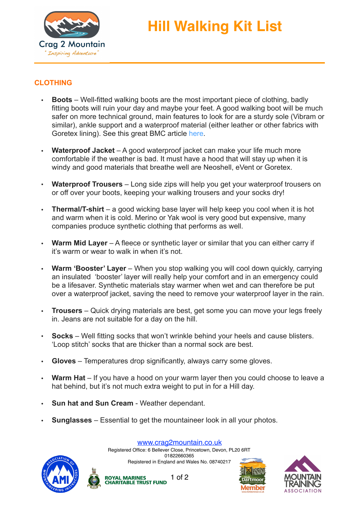

## **Hill Walking Kit List**

## **CLOTHING**

- **Boots** Well-fitted walking boots are the most important piece of clothing, badly fitting boots will ruin your day and maybe your feet. A good walking boot will be much safer on more technical ground, main features to look for are a sturdy sole (Vibram or similar), ankle support and a waterproof material (either leather or other fabrics with Goretex lining). See this great BMC article [here.](https://www.thebmc.co.uk/know-your-hill-walking-footwear)
- **Waterproof Jacket** A good waterproof jacket can make your life much more comfortable if the weather is bad. It must have a hood that will stay up when it is windy and good materials that breathe well are Neoshell, eVent or Goretex.
- **Waterproof Trousers** Long side zips will help you get your waterproof trousers on or off over your boots, keeping your walking trousers and your socks dry!
- **Thermal/T-shirt** a good wicking base layer will help keep you cool when it is hot and warm when it is cold. Merino or Yak wool is very good but expensive, many companies produce synthetic clothing that performs as well.
- **Warm Mid Layer** A fleece or synthetic layer or similar that you can either carry if it's warm or wear to walk in when it's not.
- **Warm 'Booster' Layer** When you stop walking you will cool down quickly, carrying an insulated 'booster' layer will really help your comfort and in an emergency could be a lifesaver. Synthetic materials stay warmer when wet and can therefore be put over a waterproof jacket, saving the need to remove your waterproof layer in the rain.
- **Trousers** Quick drying materials are best, get some you can move your legs freely in. Jeans are not suitable for a day on the hill.
- **Socks** Well fitting socks that won't wrinkle behind your heels and cause blisters. 'Loop stitch' socks that are thicker than a normal sock are best.
- **Gloves** Temperatures drop significantly, always carry some gloves.
- **Warm Hat** If you have a hood on your warm layer then you could choose to leave a hat behind, but it's not much extra weight to put in for a Hill day.
- **Sun hat and Sun Cream** Weather dependant.
- **Sunglasses** Essential to get the mountaineer look in all your photos.





[www.crag2mountain.co.uk](http://www.crag2mountain.co.uk)

Registered Office: 6 Bellever Close, Princetown, Devon, PL20 6RT 01822660365 Registered in England and Wales No. 08740217

1 of 2